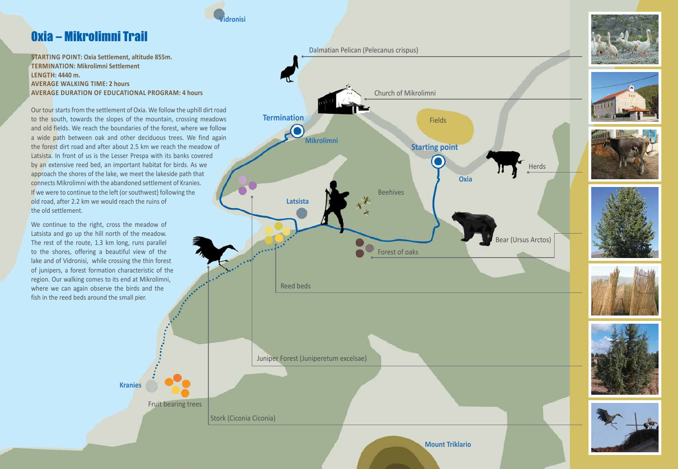#### **STARTING POINT: Oxia Settlement, altitude 855m. TERMINATION: Mikrolimni Settlement LENGTH: 4440 m. AVERAGE WALKING TIME: 2 hours AVERAGE DURATION OF EDUCATIONAL PROGRAM: 4 hours**

Our tour starts from the settlement of Oxia. We follow the uphill dirt road to the south, towards the slopes of the mountain, crossing meadows and old fields. We reach the boundaries of the forest, where we follow a wide path between oak and other deciduous trees. We find again the forest dirt road and after about 2.5 km we reach the meadow of Latsista. In front of us is the Lesser Prespa with its banks covered by an extensive reed bed, an important habitat for birds. As we approach the shores of the lake, we meet the lakeside path that connects Mikrolimni with the abandoned settlement of Kranies. If we were to continue to the left (or southwest) following the old road, after 2.2 km we would reach the ruins of the old settlement.

We continue to the right, cross the meadow of Latsista and go up the hill north of the meadow. The rest of the route, 1.3 km long, runs parallel to the shores, offering a beautiful view of the lake and of Vidronisi, while crossing the thin forest of junipers, a forest formation characteristic of the region. Our walking comes to its end at Mikrolimni, where we can again observe the birds and the fish in the reed beds around the small pier.

# Oxia – Mikrolimni Trail

Fruit bearing trees

**Kranies**